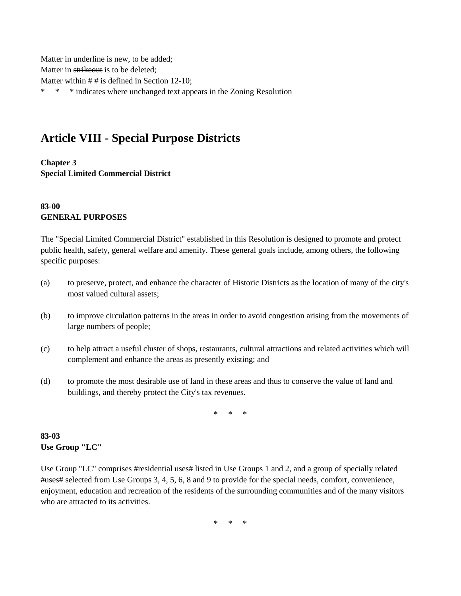Matter in underline is new, to be added; Matter in strikeout is to be deleted; Matter within # # is defined in Section 12-10; \* \* \* indicates where unchanged text appears in the Zoning Resolution

## **Article VIII - Special Purpose Districts**

**Chapter 3 Special Limited Commercial District**

## **83-00 GENERAL PURPOSES**

The "Special Limited Commercial District" established in this Resolution is designed to promote and protect public health, safety, general welfare and amenity. These general goals include, among others, the following specific purposes:

- (a) to preserve, protect, and enhance the character of Historic Districts as the location of many of the city's most valued cultural assets;
- (b) to improve circulation patterns in the areas in order to avoid congestion arising from the movements of large numbers of people;
- (c) to help attract a useful cluster of shops, restaurants, cultural attractions and related activities which will complement and enhance the areas as presently existing; and
- (d) to promote the most desirable use of land in these areas and thus to conserve the value of land and buildings, and thereby protect the City's tax revenues.

\* \* \*

## **83-03 Use Group "LC"**

Use Group "LC" comprises #residential uses# listed in Use Groups 1 and 2, and a group of specially related #uses# selected from Use Groups 3, 4, 5, 6, 8 and 9 to provide for the special needs, comfort, convenience, enjoyment, education and recreation of the residents of the surrounding communities and of the many visitors who are attracted to its activities.

 $*$